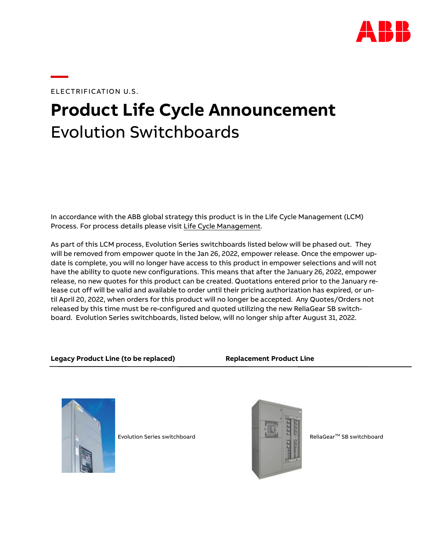

ELECTRIFICATION U.S.

**—**

# **Product Life Cycle Announcement** Evolution Switchboards

In accordance with the ABB global strategy this product is in the Life Cycle Management (LCM) Process. For process details please visit [Life Cycle Management.](https://electrification.us.abb.com/life-cycle-management)

As part of this LCM process, Evolution Series switchboards listed below will be phased out. They will be removed from empower quote in the Jan 26, 2022, empower release. Once the empower update is complete, you will no longer have access to this product in empower selections and will not have the ability to quote new configurations. This means that after the January 26, 2022, empower release, no new quotes for this product can be created. Quotations entered prior to the January release cut off will be valid and available to order until their pricing authorization has expired, or until April 20, 2022, when orders for this product will no longer be accepted. Any Quotes/Orders not released by this time must be re-configured and quoted utilizing the new ReliaGear SB switchboard. Evolution Series switchboards, listed below, will no longer ship after August 31, 2022.

## **Legacy Product Line (to be replaced) Replacement Product Line**



Evolution Series switchboard and ReliaGear<sup>TM</sup> SB switchboard ReliaGear<sup>TM</sup> SB switchboard

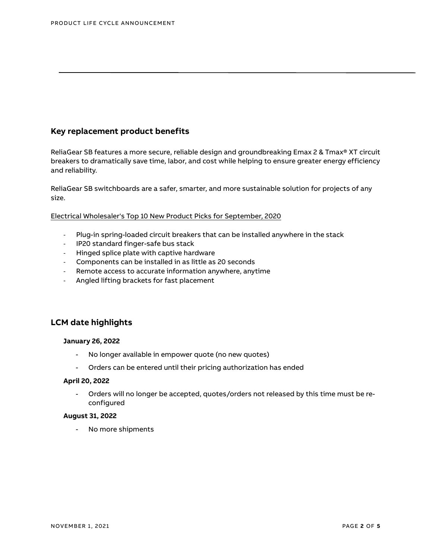# **Key replacement product benefits**

ReliaGear SB features a more secure, reliable design and groundbreaking Emax 2 & Tmax® XT circuit breakers to dramatically save time, labor, and cost while helping to ensure greater energy efficiency and reliability.

ReliaGear SB switchboards are a safer, smarter, and more sustainable solution for projects of any size.

Electrical Wholesaler's [Top 10 New Product Picks for September, 2020](https://www.ewweb.com/gear/product-galleries/media-gallery/21141948/ews-top-10-new-product-picks-for-september-2020/slideshow)

- Plug-in spring-loaded circuit breakers that can be installed anywhere in the stack
- IP20 standard finger-safe bus stack
- Hinged splice plate with captive hardware
- Components can be installed in as little as 20 seconds
- Remote access to accurate information anywhere, anytime
- Angled lifting brackets for fast placement

# **LCM date highlights**

### **January 26, 2022**

- No longer available in empower quote (no new quotes)
- Orders can be entered until their pricing authorization has ended

#### **April 20, 2022**

- Orders will no longer be accepted, quotes/orders not released by this time must be reconfigured

#### **August 31, 2022**

- No more shipments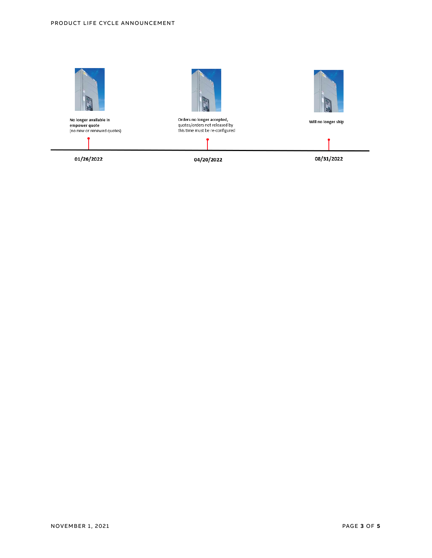

No longer available in<br>empower quote<br>(no new or renewed quotes)



Will no longer ship

01/26/2022

04/20/2022

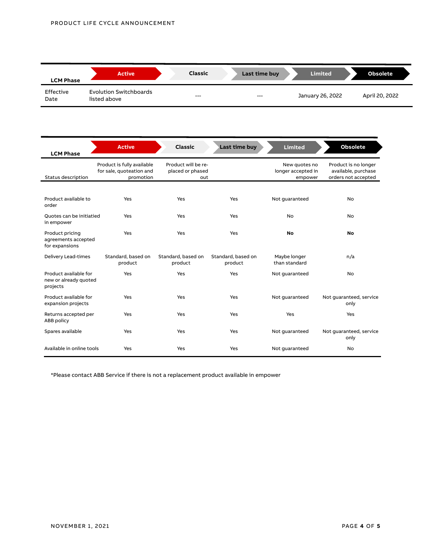| <b>LCM Phase</b>  | <b>Active</b>                                 | Classic | Last time buy | <b>Limited</b>   | <b>Obsolete</b> |
|-------------------|-----------------------------------------------|---------|---------------|------------------|-----------------|
| Effective<br>Date | <b>Evolution Switchboards</b><br>listed above | $--$    | $---$         | January 26, 2022 | April 20, 2022  |

| <b>LCM Phase</b>                                           | <b>Active</b>                                                       | <b>Classic</b>                                 | Last time buy                 | <b>Limited</b>                                 | <b>Obsolete</b>                                                    |
|------------------------------------------------------------|---------------------------------------------------------------------|------------------------------------------------|-------------------------------|------------------------------------------------|--------------------------------------------------------------------|
| <b>Status description</b>                                  | Product is fully available<br>for sale, quoteation and<br>promotion | Product will be re-<br>placed or phased<br>out |                               | New quotes no<br>longer accepted in<br>empower | Product is no longer<br>available, purchase<br>orders not accepted |
|                                                            |                                                                     |                                                |                               |                                                |                                                                    |
| Product available to<br>order                              | Yes                                                                 | Yes                                            | Yes                           | Not guaranteed                                 | <b>No</b>                                                          |
| Quotes can be initiatied<br>in empower                     | Yes                                                                 | Yes                                            | Yes                           | <b>No</b>                                      | <b>No</b>                                                          |
| Product pricing<br>agreements accepted<br>for expansions   | Yes                                                                 | Yes                                            | Yes                           | No                                             | <b>No</b>                                                          |
| Delivery Lead-times                                        | Standard, based on<br>product                                       | Standard, based on<br>product                  | Standard, based on<br>product | Maybe longer<br>than standard                  | n/a                                                                |
| Product available for<br>new or already quoted<br>projects | Yes                                                                 | Yes                                            | Yes                           | Not guaranteed                                 | <b>No</b>                                                          |
| Product available for<br>expansion projects                | Yes                                                                 | Yes                                            | Yes                           | Not guaranteed                                 | Not guaranteed, service<br>only                                    |
| Returns accepted per<br>ABB policy                         | Yes                                                                 | Yes                                            | Yes                           | Yes                                            | Yes                                                                |
| Spares available                                           | Yes                                                                 | Yes                                            | Yes                           | Not quaranteed                                 | Not guaranteed, service<br>only                                    |
| Available in online tools                                  | Yes                                                                 | Yes                                            | Yes                           | Not guaranteed                                 | No                                                                 |

\*Please contact ABB Service if there is not a replacement product available in empower